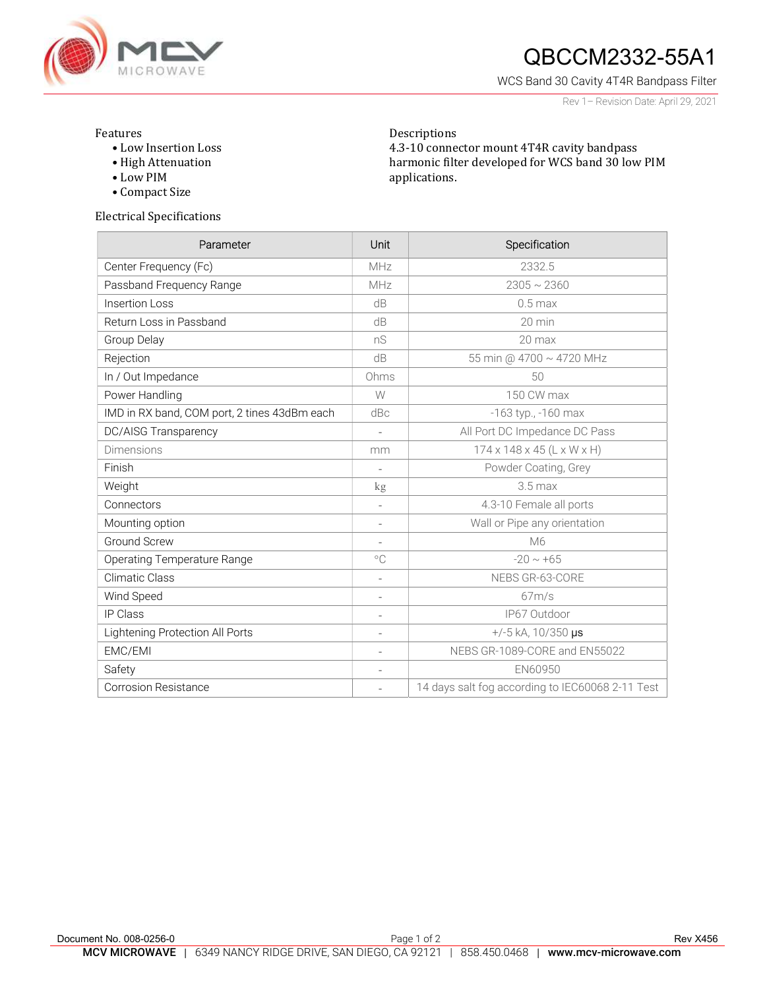

## $QBCCM2332-55A1$

WCS Band 30 Cavity 4T4R Bandpass Filter

Rev 1– Revision Date: April 29, 2021

## Features

- Low Insertion Loss
- High Attenuation

Electrical Specifications

- Low PIM
- Compact Size

Descriptions 4.3-10 connector mount 4T4R cavity bandpass harmonic filter developed for WCS band 30 low PIM applications.

| Parameter                                    | <b>Unit</b>              | Specification                                    |
|----------------------------------------------|--------------------------|--------------------------------------------------|
| Center Frequency (Fc)                        | MHz                      | 2332.5                                           |
| Passband Frequency Range                     | MHz                      | $2305 \sim 2360$                                 |
| <b>Insertion Loss</b>                        | dB                       | $0.5$ max                                        |
| Return Loss in Passband                      | dB                       | $20 \text{ min}$                                 |
| Group Delay                                  | nS                       | 20 max                                           |
| Rejection                                    | dB                       | 55 min @ 4700 ~ 4720 MHz                         |
| In / Out Impedance                           | Ohms                     | 50                                               |
| Power Handling                               | W                        | 150 CW max                                       |
| IMD in RX band, COM port, 2 tines 43dBm each | dBc                      | -163 typ., -160 max                              |
| <b>DC/AISG Transparency</b>                  | $\overline{\phantom{a}}$ | All Port DC Impedance DC Pass                    |
| <b>Dimensions</b>                            | mm                       | $174 \times 148 \times 45$ (L x W x H)           |
| Finish                                       | $\overline{\phantom{a}}$ | Powder Coating, Grey                             |
| Weight                                       | kg                       | $3.5$ max                                        |
| Connectors                                   | $\overline{\phantom{a}}$ | 4.3-10 Female all ports                          |
| Mounting option                              | $\overline{\phantom{a}}$ | Wall or Pipe any orientation                     |
| <b>Ground Screw</b>                          | $\overline{\phantom{a}}$ | M6                                               |
| <b>Operating Temperature Range</b>           | $^{\circ}$ C             | $-20 \sim +65$                                   |
| <b>Climatic Class</b>                        | $\overline{\phantom{a}}$ | NEBS GR-63-CORE                                  |
| Wind Speed                                   | $\overline{\phantom{a}}$ | 67m/s                                            |
| <b>IP Class</b>                              | $\overline{\phantom{a}}$ | IP67 Outdoor                                     |
| Lightening Protection All Ports              | $\overline{\phantom{a}}$ | $+/-5$ kA, 10/350 µs                             |
| EMC/EMI                                      | $\overline{\phantom{a}}$ | NEBS GR-1089-CORE and EN55022                    |
| Safety                                       | $\overline{\phantom{a}}$ | EN60950                                          |
| <b>Corrosion Resistance</b>                  |                          | 14 days salt fog according to IEC60068 2-11 Test |

## Document No. 008-0256-0 **Page 1 of 2** Page 1 of 2 Rev X456 MCV MICROWAVE | 6349 NANCY RIDGE DRIVE, SAN DIEGO, CA 92121 | 858.450.0468 | www.mcv-microwave.com